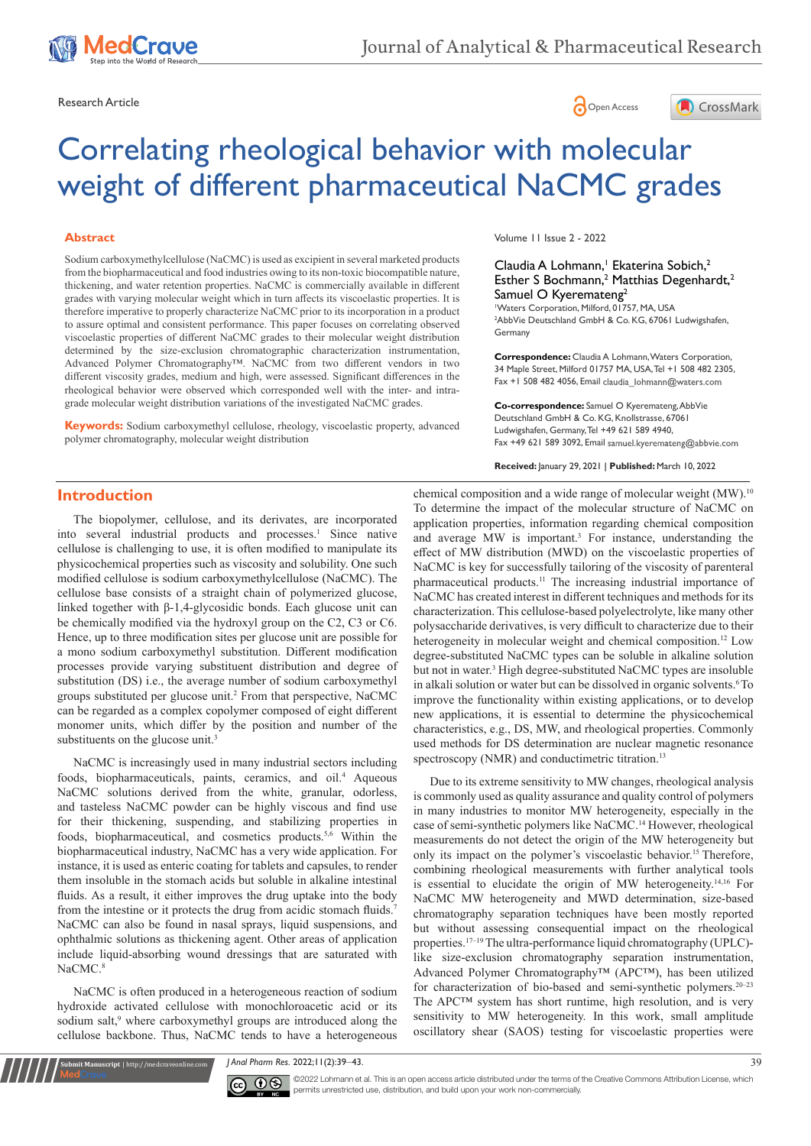

Research Article **Contracts** Contracts and Contracts Contracts Contracts Contracts Contracts Contracts Contracts Contracts Contracts Contracts Contracts Contracts Contracts Contracts Contracts Contracts Contracts Contracts





# Correlating rheological behavior with molecular weight of different pharmaceutical NaCMC grades

#### **Abstract**

Sodium carboxymethylcellulose (NaCMC) is used as excipient in several marketed products from the biopharmaceutical and food industries owing to its non-toxic biocompatible nature, thickening, and water retention properties. NaCMC is commercially available in different grades with varying molecular weight which in turn affects its viscoelastic properties. It is therefore imperative to properly characterize NaCMC prior to its incorporation in a product to assure optimal and consistent performance. This paper focuses on correlating observed viscoelastic properties of different NaCMC grades to their molecular weight distribution determined by the size-exclusion chromatographic characterization instrumentation, Advanced Polymer Chromatography™. NaCMC from two different vendors in two different viscosity grades, medium and high, were assessed. Significant differences in the rheological behavior were observed which corresponded well with the inter- and intragrade molecular weight distribution variations of the investigated NaCMC grades.

**Keywords:** Sodium carboxymethyl cellulose, rheology, viscoelastic property, advanced polymer chromatography, molecular weight distribution

Volume 11 Issue 2 - 2022

Claudia A Lohmann,<sup>1</sup> Ekaterina Sobich,<sup>2</sup> Esther S Bochmann,<sup>2</sup> Matthias Degenhardt,<sup>2</sup> Samuel O Kyeremateng<sup>2</sup> 1 Waters Corporation, Milford, 01757, MA, USA

2 AbbVie Deutschland GmbH & Co. KG, 67061 Ludwigshafen, Germany

**Correspondence:** Claudia A Lohmann, Waters Corporation, 34 Maple Street, Milford 01757 MA, USA, Tel +1 508 482 2305, Fax +1 508 482 4056, Email claudia\_lohmann@waters.com

**Co-correspondence:** Samuel O Kyeremateng, AbbVie Deutschland GmbH & Co. KG, Knollstrasse, 67061 Ludwigshafen, Germany, Tel +49 621 589 4940, Fax +49 621 589 3092, Email samuel.kyeremateng@abbvie.com

**Received:** January 29, 2021 | **Published:** March 10, 2022

# **Introduction**

The biopolymer, cellulose, and its derivates, are incorporated into several industrial products and processes.<sup>1</sup> Since native cellulose is challenging to use, it is often modified to manipulate its physicochemical properties such as viscosity and solubility. One such modified cellulose is sodium carboxymethylcellulose (NaCMC). The cellulose base consists of a straight chain of polymerized glucose, linked together with β-1,4-glycosidic bonds. Each glucose unit can be chemically modified via the hydroxyl group on the C2, C3 or C6. Hence, up to three modification sites per glucose unit are possible for a mono sodium carboxymethyl substitution. Different modification processes provide varying substituent distribution and degree of substitution (DS) i.e., the average number of sodium carboxymethyl groups substituted per glucose unit.<sup>2</sup> From that perspective, NaCMC can be regarded as a complex copolymer composed of eight different monomer units, which differ by the position and number of the substituents on the glucose unit.<sup>3</sup>

NaCMC is increasingly used in many industrial sectors including foods, biopharmaceuticals, paints, ceramics, and oil.<sup>4</sup> Aqueous NaCMC solutions derived from the white, granular, odorless, and tasteless NaCMC powder can be highly viscous and find use for their thickening, suspending, and stabilizing properties in foods, biopharmaceutical, and cosmetics products.<sup>5,6</sup> Within the biopharmaceutical industry, NaCMC has a very wide application. For instance, it is used as enteric coating for tablets and capsules, to render them insoluble in the stomach acids but soluble in alkaline intestinal fluids. As a result, it either improves the drug uptake into the body from the intestine or it protects the drug from acidic stomach fluids.<sup>7</sup> NaCMC can also be found in nasal sprays, liquid suspensions, and ophthalmic solutions as thickening agent. Other areas of application include liquid-absorbing wound dressings that are saturated with NaCMC.<sup>8</sup>

NaCMC is often produced in a heterogeneous reaction of sodium hydroxide activated cellulose with monochloroacetic acid or its sodium salt,<sup>9</sup> where carboxymethyl groups are introduced along the cellulose backbone. Thus, NaCMC tends to have a heterogeneous

**it Manuscript** | http://medcraveonline.co

chemical composition and a wide range of molecular weight (MW).<sup>10</sup> To determine the impact of the molecular structure of NaCMC on application properties, information regarding chemical composition and average MW is important.<sup>3</sup> For instance, understanding the effect of MW distribution (MWD) on the viscoelastic properties of NaCMC is key for successfully tailoring of the viscosity of parenteral pharmaceutical products.11 The increasing industrial importance of NaCMC has created interest in different techniques and methods for its characterization. This cellulose-based polyelectrolyte, like many other polysaccharide derivatives, is very difficult to characterize due to their heterogeneity in molecular weight and chemical composition.<sup>12</sup> Low degree-substituted NaCMC types can be soluble in alkaline solution but not in water.<sup>3</sup> High degree-substituted NaCMC types are insoluble in alkali solution or water but can be dissolved in organic solvents.<sup>6</sup>To improve the functionality within existing applications, or to develop new applications, it is essential to determine the physicochemical characteristics, e.g., DS, MW, and rheological properties. Commonly used methods for DS determination are nuclear magnetic resonance spectroscopy (NMR) and conductimetric titration.<sup>13</sup>

Due to its extreme sensitivity to MW changes, rheological analysis is commonly used as quality assurance and quality control of polymers in many industries to monitor MW heterogeneity, especially in the case of semi-synthetic polymers like NaCMC.14 However, rheological measurements do not detect the origin of the MW heterogeneity but only its impact on the polymer's viscoelastic behavior.<sup>15</sup> Therefore, combining rheological measurements with further analytical tools is essential to elucidate the origin of MW heterogeneity.14,16 For NaCMC MW heterogeneity and MWD determination, size-based chromatography separation techniques have been mostly reported but without assessing consequential impact on the rheological properties.<sup>17-19</sup> The ultra-performance liquid chromatography (UPLC)like size-exclusion chromatography separation instrumentation, Advanced Polymer Chromatography™ (APC™), has been utilized for characterization of bio-based and semi-synthetic polymers.<sup>20-23</sup> The APC™ system has short runtime, high resolution, and is very sensitivity to MW heterogeneity. In this work, small amplitude oscillatory shear (SAOS) testing for viscoelastic properties were

*J Anal Pharm Res.* 2022;11(2):39‒43. 39



 $\overline{\text{cc}}$   $\overline{\text{C}}$   $\odot$   $\odot$  2022 Lohmann et al. This is an open access article distributed under the terms of the [Creative Commons Attribution License,](https://creativecommons.org/licenses/by-nc/4.0/) which permits unrestricted use, distribution, and build upon your work non-commercially.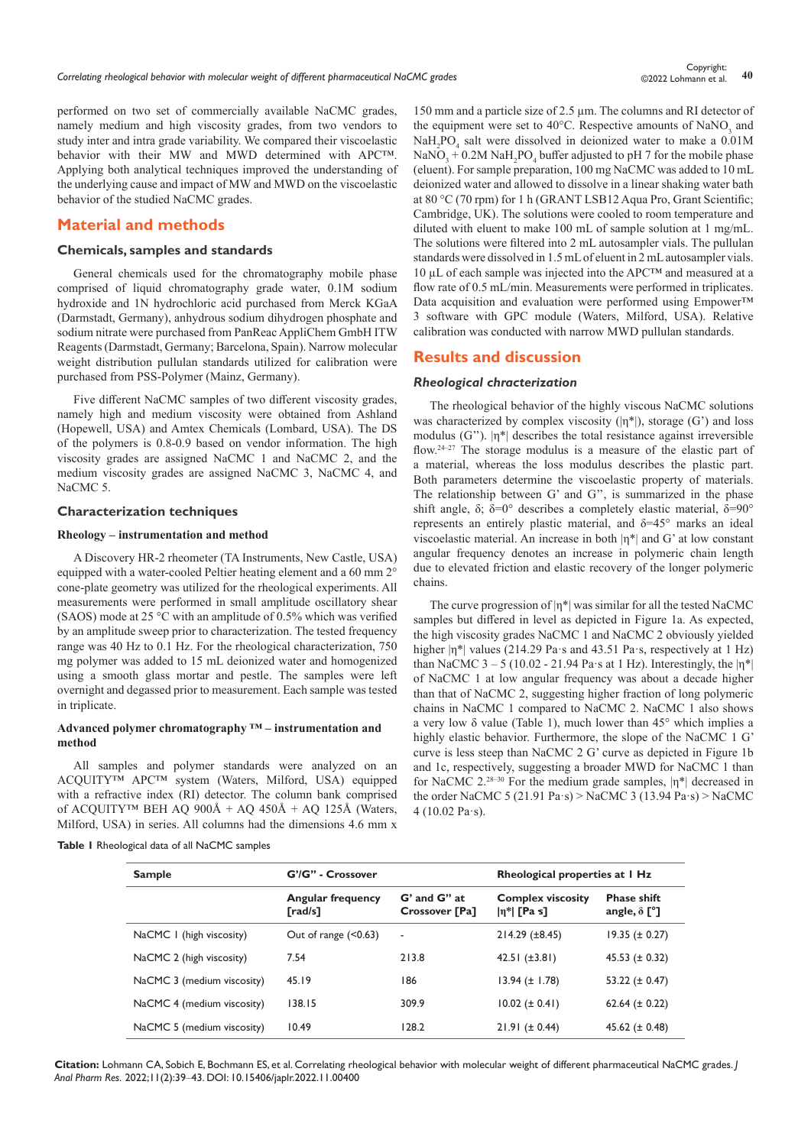©2022 Lohmann et al.

performed on two set of commercially available NaCMC grades, namely medium and high viscosity grades, from two vendors to study inter and intra grade variability. We compared their viscoelastic behavior with their MW and MWD determined with APC™. Applying both analytical techniques improved the understanding of the underlying cause and impact of MW and MWD on the viscoelastic behavior of the studied NaCMC grades.

# **Material and methods**

#### **Chemicals, samples and standards**

General chemicals used for the chromatography mobile phase comprised of liquid chromatography grade water, 0.1M sodium hydroxide and 1N hydrochloric acid purchased from Merck KGaA (Darmstadt, Germany), anhydrous sodium dihydrogen phosphate and sodium nitrate were purchased from PanReac AppliChem GmbH ITW Reagents (Darmstadt, Germany; Barcelona, Spain). Narrow molecular weight distribution pullulan standards utilized for calibration were purchased from PSS-Polymer (Mainz, Germany).

Five different NaCMC samples of two different viscosity grades, namely high and medium viscosity were obtained from Ashland (Hopewell, USA) and Amtex Chemicals (Lombard, USA). The DS of the polymers is 0.8-0.9 based on vendor information. The high viscosity grades are assigned NaCMC 1 and NaCMC 2, and the medium viscosity grades are assigned NaCMC 3, NaCMC 4, and NaCMC 5.

## **Characterization techniques**

#### **Rheology – instrumentation and method**

A Discovery HR-2 rheometer (TA Instruments, New Castle, USA) equipped with a water-cooled Peltier heating element and a 60 mm 2° cone-plate geometry was utilized for the rheological experiments. All measurements were performed in small amplitude oscillatory shear (SAOS) mode at 25 °C with an amplitude of 0.5% which was verified by an amplitude sweep prior to characterization. The tested frequency range was 40 Hz to 0.1 Hz. For the rheological characterization, 750 mg polymer was added to 15 mL deionized water and homogenized using a smooth glass mortar and pestle. The samples were left overnight and degassed prior to measurement. Each sample was tested in triplicate.

## **Advanced polymer chromatography ™ – instrumentation and method**

All samples and polymer standards were analyzed on an ACQUITY™ APC™ system (Waters, Milford, USA) equipped with a refractive index (RI) detector. The column bank comprised of ACQUITY<sup>™</sup> BEH AQ  $900\text{\AA}$  + AQ  $450\text{\AA}$  + AQ 125Å (Waters, Milford, USA) in series. All columns had the dimensions 4.6 mm x

|  |  | Table I Rheological data of all NaCMC samples |  |  |  |  |
|--|--|-----------------------------------------------|--|--|--|--|
|--|--|-----------------------------------------------|--|--|--|--|

150 mm and a particle size of 2.5 µm. The columns and RI detector of the equipment were set to  $40^{\circ}$ C. Respective amounts of NaNO<sub>3</sub> and NaH<sub>2</sub>PO<sub>4</sub> salt were dissolved in deionized water to make a 0.01M  $\text{NaNO}_3 + 0.2 \text{M NaH}_2 \text{PO}_4$  buffer adjusted to pH 7 for the mobile phase (eluent). For sample preparation, 100 mg NaCMC was added to 10 mL deionized water and allowed to dissolve in a linear shaking water bath at 80 °C (70 rpm) for 1 h (GRANT LSB12 Aqua Pro, Grant Scientific; Cambridge, UK). The solutions were cooled to room temperature and diluted with eluent to make 100 mL of sample solution at 1 mg/mL. The solutions were filtered into 2 mL autosampler vials. The pullulan standards were dissolved in 1.5 mL of eluent in 2 mL autosampler vials. 10 µL of each sample was injected into the APC™ and measured at a flow rate of 0.5 mL/min. Measurements were performed in triplicates. Data acquisition and evaluation were performed using Empower™ 3 software with GPC module (Waters, Milford, USA). Relative calibration was conducted with narrow MWD pullulan standards.

## **Results and discussion**

## *Rheological chracterization*

The rheological behavior of the highly viscous NaCMC solutions was characterized by complex viscosity  $(|\eta^*|)$ , storage (G') and loss modulus (G'').  $|\eta^*|$  describes the total resistance against irreversible flow.24–27 The storage modulus is a measure of the elastic part of a material, whereas the loss modulus describes the plastic part. Both parameters determine the viscoelastic property of materials. The relationship between G' and G'', is summarized in the phase shift angle, δ; δ=0° describes a completely elastic material, δ=90° represents an entirely plastic material, and δ=45° marks an ideal viscoelastic material. An increase in both  $|\eta^*|$  and G' at low constant angular frequency denotes an increase in polymeric chain length due to elevated friction and elastic recovery of the longer polymeric chains.

The curve progression of  $|\eta^*|$  was similar for all the tested NaCMC samples but differed in level as depicted in Figure 1a. As expected, the high viscosity grades NaCMC 1 and NaCMC 2 obviously yielded higher  $|n^*|$  values (214.29 Pa·s and 43.51 Pa·s, respectively at 1 Hz) than NaCMC  $3 - 5$  (10.02 - 21.94 Pa·s at 1 Hz). Interestingly, the  $|\eta^*|$ of NaCMC 1 at low angular frequency was about a decade higher than that of NaCMC 2, suggesting higher fraction of long polymeric chains in NaCMC 1 compared to NaCMC 2. NaCMC 1 also shows a very low δ value (Table 1), much lower than 45° which implies a highly elastic behavior. Furthermore, the slope of the NaCMC 1 G' curve is less steep than NaCMC 2 G' curve as depicted in Figure 1b and 1c, respectively, suggesting a broader MWD for NaCMC 1 than for NaCMC  $2.^{28-30}$  For the medium grade samples,  $|\eta^*|$  decreased in the order NaCMC 5 (21.91 Pa·s) > NaCMC 3 (13.94 Pa·s) > NaCMC 4 (10.02 Pa·s).

| <b>Sample</b>              | G'/G" - Crossover                   |                                | Rheological properties at I Hz             |                                           |  |
|----------------------------|-------------------------------------|--------------------------------|--------------------------------------------|-------------------------------------------|--|
|                            | <b>Angular frequency</b><br>[rad/s] | G' and G" at<br>Crossover [Pa] | <b>Complex viscosity</b><br>$ n^* $ [Pa s] | <b>Phase shift</b><br>angle, $\delta$ [°] |  |
| NaCMC 1 (high viscosity)   | Out of range $($ $0.63$ )           | $\blacksquare$                 | $214.29 (\pm 8.45)$                        | $19.35 (\pm 0.27)$                        |  |
| NaCMC 2 (high viscosity)   | 7.54                                | 213.8                          | 42.51 $(\pm 3.81)$                         | 45.53 $(\pm 0.32)$                        |  |
| NaCMC 3 (medium viscosity) | 45.19                               | 186                            | $13.94 (\pm 1.78)$                         | 53.22 ( $\pm$ 0.47)                       |  |
| NaCMC 4 (medium viscosity) | 138.15                              | 309.9                          | $10.02 (\pm 0.41)$                         | 62.64 $(\pm 0.22)$                        |  |
| NaCMC 5 (medium viscosity) | 10.49                               | 128.2                          | $21.91 (\pm 0.44)$                         | 45.62 $(\pm 0.48)$                        |  |
|                            |                                     |                                |                                            |                                           |  |

**Citation:** Lohmann CA, Sobich E, Bochmann ES, et al. Correlating rheological behavior with molecular weight of different pharmaceutical NaCMC grades. *J Anal Pharm Res.* 2022;11(2):39‒43. DOI: [10.15406/japlr.2022.11.00400](https://doi.org/10.15406/japlr.2022.11.00400)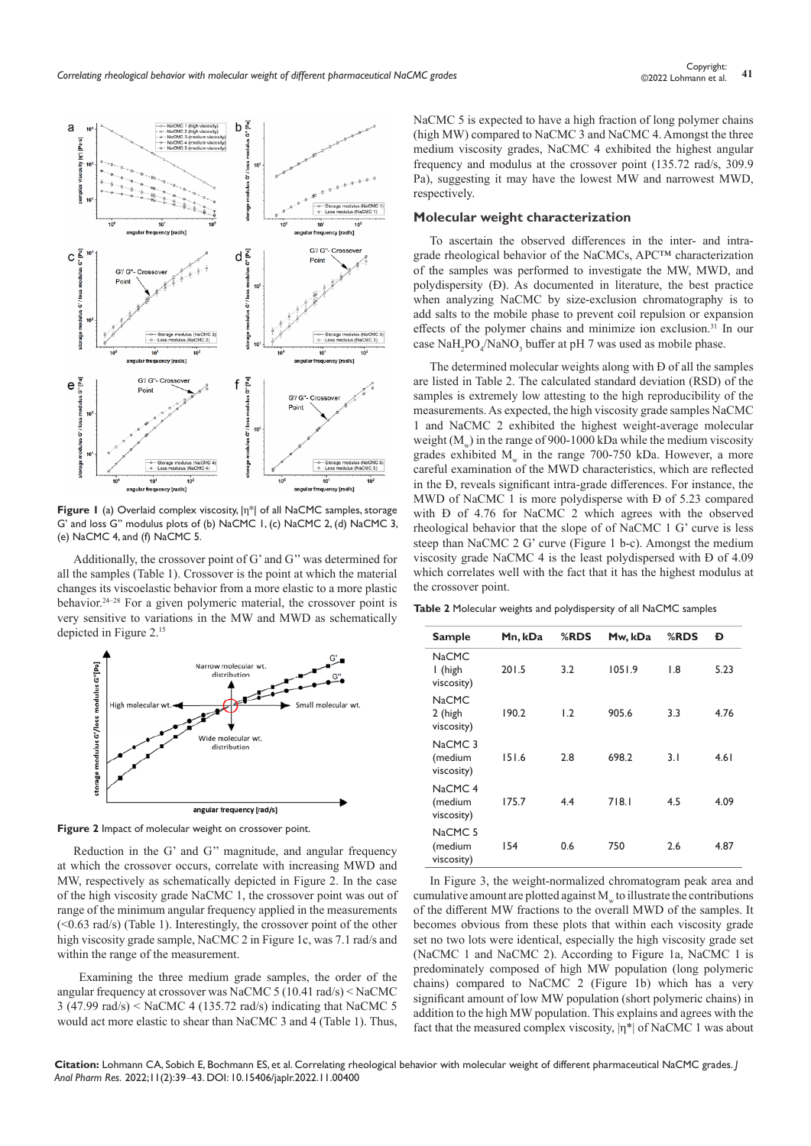

**Figure 1** (a) Overlaid complex viscosity, |η\*| of all NaCMC samples, storage G' and loss G'' modulus plots of (b) NaCMC 1, (c) NaCMC 2, (d) NaCMC 3, (e) NaCMC 4, and (f) NaCMC 5.

Additionally, the crossover point of G' and G'' was determined for all the samples (Table 1). Crossover is the point at which the material changes its viscoelastic behavior from a more elastic to a more plastic behavior.24–28 For a given polymeric material, the crossover point is very sensitive to variations in the MW and MWD as schematically depicted in Figure 2.<sup>15</sup>



**Figure 2** Impact of molecular weight on crossover point.

Reduction in the G' and G'' magnitude, and angular frequency at which the crossover occurs, correlate with increasing MWD and MW, respectively as schematically depicted in Figure 2. In the case of the high viscosity grade NaCMC 1, the crossover point was out of range of the minimum angular frequency applied in the measurements (<0.63 rad/s) (Table 1). Interestingly, the crossover point of the other high viscosity grade sample, NaCMC 2 in Figure 1c, was 7.1 rad/s and within the range of the measurement.

 Examining the three medium grade samples, the order of the angular frequency at crossover was NaCMC 5 (10.41 rad/s) < NaCMC 3 (47.99 rad/s) < NaCMC 4 (135.72 rad/s) indicating that NaCMC 5 would act more elastic to shear than NaCMC 3 and 4 (Table 1). Thus, NaCMC 5 is expected to have a high fraction of long polymer chains (high MW) compared to NaCMC 3 and NaCMC 4. Amongst the three medium viscosity grades, NaCMC 4 exhibited the highest angular frequency and modulus at the crossover point (135.72 rad/s, 309.9 Pa), suggesting it may have the lowest MW and narrowest MWD, respectively.

#### **Molecular weight characterization**

To ascertain the observed differences in the inter- and intragrade rheological behavior of the NaCMCs, APC™ characterization of the samples was performed to investigate the MW, MWD, and polydispersity (Đ). As documented in literature, the best practice when analyzing NaCMC by size-exclusion chromatography is to add salts to the mobile phase to prevent coil repulsion or expansion effects of the polymer chains and minimize ion exclusion.31 In our case  $\text{NaH}_2\text{PO}_4/\text{NaNO}_3$  buffer at pH 7 was used as mobile phase.

The determined molecular weights along with Đ of all the samples are listed in Table 2. The calculated standard deviation (RSD) of the samples is extremely low attesting to the high reproducibility of the measurements. As expected, the high viscosity grade samples NaCMC 1 and NaCMC 2 exhibited the highest weight-average molecular weight  $(M<sub>w</sub>)$  in the range of 900-1000 kDa while the medium viscosity grades exhibited  $M_w$  in the range 700-750 kDa. However, a more careful examination of the MWD characteristics, which are reflected in the Đ, reveals significant intra-grade differences. For instance, the MWD of NaCMC 1 is more polydisperse with Đ of 5.23 compared with Đ of 4.76 for NaCMC 2 which agrees with the observed rheological behavior that the slope of of NaCMC 1 G' curve is less steep than NaCMC 2 G' curve (Figure 1 b-c). Amongst the medium viscosity grade NaCMC 4 is the least polydispersed with Đ of 4.09 which correlates well with the fact that it has the highest modulus at the crossover point.

**Table 2** Molecular weights and polydispersity of all NaCMC samples

| <b>Sample</b>                               | Mn, kDa | %RDS | Mw, kDa | %RDS | Đ    |
|---------------------------------------------|---------|------|---------|------|------|
| <b>NaCMC</b><br>I (high<br>viscosity)       | 201.5   | 3.2  | 1051.9  | 1.8  | 5.23 |
| <b>NaCMC</b><br>2 (high<br>viscosity)       | 190.2   | 1.2  | 905.6   | 3.3  | 4.76 |
| NaCMC <sub>3</sub><br>(medium<br>viscosity) | 151.6   | 2.8  | 698.2   | 3.1  | 4.61 |
| NaCMC <sub>4</sub><br>(medium<br>viscosity) | 175.7   | 4.4  | 718.1   | 4.5  | 4.09 |
| NaCMC <sub>5</sub><br>(medium<br>viscosity) | 154     | 0.6  | 750     | 2.6  | 4.87 |

In Figure 3, the weight-normalized chromatogram peak area and cumulative amount are plotted against  $M_{w}$  to illustrate the contributions of the different MW fractions to the overall MWD of the samples. It becomes obvious from these plots that within each viscosity grade set no two lots were identical, especially the high viscosity grade set (NaCMC 1 and NaCMC 2). According to Figure 1a, NaCMC 1 is predominately composed of high MW population (long polymeric chains) compared to NaCMC 2 (Figure 1b) which has a very significant amount of low MW population (short polymeric chains) in addition to the high MW population. This explains and agrees with the fact that the measured complex viscosity,  $|\eta^*|$  of NaCMC 1 was about

**Citation:** Lohmann CA, Sobich E, Bochmann ES, et al. Correlating rheological behavior with molecular weight of different pharmaceutical NaCMC grades. *J Anal Pharm Res.* 2022;11(2):39‒43. DOI: [10.15406/japlr.2022.11.00400](https://doi.org/10.15406/japlr.2022.11.00400)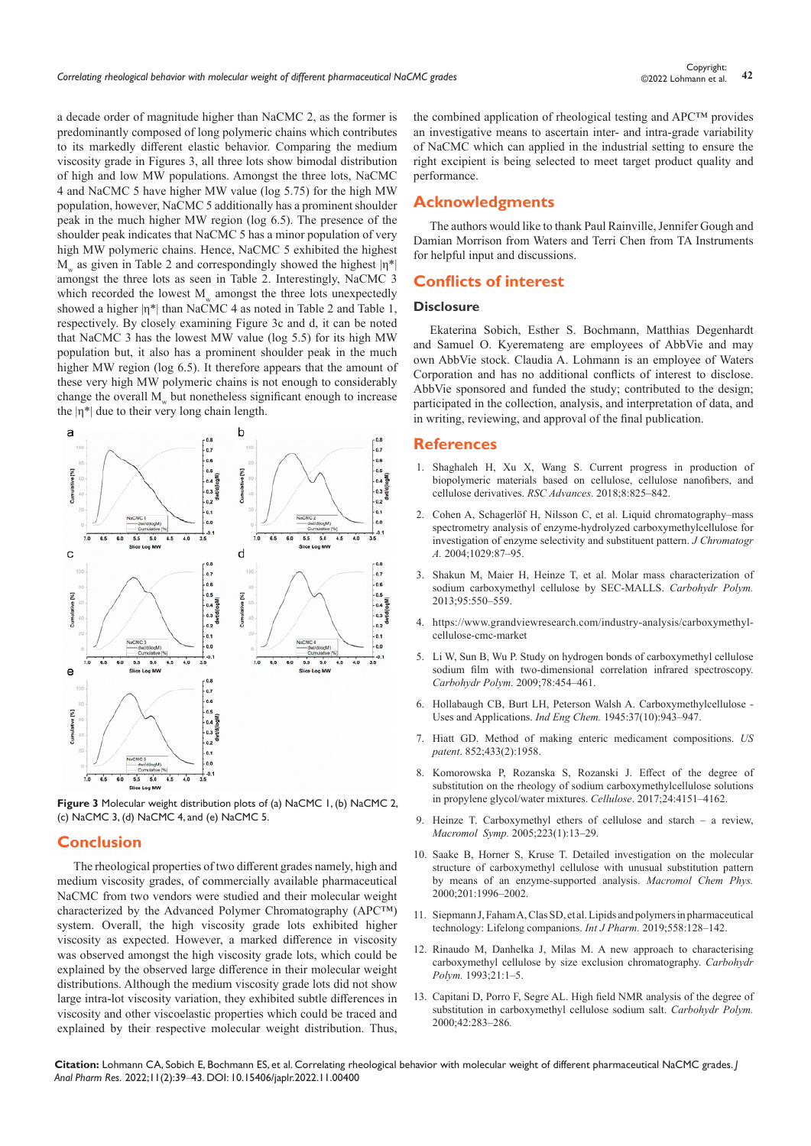a decade order of magnitude higher than NaCMC 2, as the former is predominantly composed of long polymeric chains which contributes to its markedly different elastic behavior. Comparing the medium viscosity grade in Figures 3, all three lots show bimodal distribution of high and low MW populations. Amongst the three lots, NaCMC 4 and NaCMC 5 have higher MW value (log 5.75) for the high MW population, however, NaCMC 5 additionally has a prominent shoulder peak in the much higher MW region (log 6.5). The presence of the shoulder peak indicates that NaCMC 5 has a minor population of very high MW polymeric chains. Hence, NaCMC 5 exhibited the highest M as given in Table 2 and correspondingly showed the highest  $|\eta^*|$ amongst the three lots as seen in Table 2. Interestingly, NaCMC 3 which recorded the lowest M amongst the three lots unexpectedly showed a higher  $|n^*|$  than NaCMC 4 as noted in Table 2 and Table 1, respectively. By closely examining Figure 3c and d, it can be noted that NaCMC 3 has the lowest MW value (log 5.5) for its high MW population but, it also has a prominent shoulder peak in the much higher MW region (log 6.5). It therefore appears that the amount of these very high MW polymeric chains is not enough to considerably change the overall  $M_{\ldots}$  but nonetheless significant enough to increase the  $|\eta^*|$  due to their very long chain length.



**Figure 3** Molecular weight distribution plots of (a) NaCMC 1, (b) NaCMC 2, (c) NaCMC 3, (d) NaCMC 4, and (e) NaCMC 5.

## **Conclusion**

The rheological properties of two different grades namely, high and medium viscosity grades, of commercially available pharmaceutical NaCMC from two vendors were studied and their molecular weight characterized by the Advanced Polymer Chromatography (APC™) system. Overall, the high viscosity grade lots exhibited higher viscosity as expected. However, a marked difference in viscosity was observed amongst the high viscosity grade lots, which could be explained by the observed large difference in their molecular weight distributions. Although the medium viscosity grade lots did not show large intra-lot viscosity variation, they exhibited subtle differences in viscosity and other viscoelastic properties which could be traced and explained by their respective molecular weight distribution. Thus,

the combined application of rheological testing and APC™ provides an investigative means to ascertain inter- and intra-grade variability of NaCMC which can applied in the industrial setting to ensure the right excipient is being selected to meet target product quality and performance.

# **Acknowledgments**

The authors would like to thank Paul Rainville, Jennifer Gough and Damian Morrison from Waters and Terri Chen from TA Instruments for helpful input and discussions.

# **Conflicts of interest**

# **Disclosure**

Ekaterina Sobich, Esther S. Bochmann, Matthias Degenhardt and Samuel O. Kyeremateng are employees of AbbVie and may own AbbVie stock. Claudia A. Lohmann is an employee of Waters Corporation and has no additional conflicts of interest to disclose. AbbVie sponsored and funded the study; contributed to the design; participated in the collection, analysis, and interpretation of data, and in writing, reviewing, and approval of the final publication.

## **References**

- 1. [Shaghaleh H, Xu X, Wang S. Current progress in production of](https://pubs.rsc.org/en/content/articlelanding/2018/ra/c7ra11157f)  [biopolymeric materials based on cellulose, cellulose nanofibers, and](https://pubs.rsc.org/en/content/articlelanding/2018/ra/c7ra11157f)  [cellulose derivatives.](https://pubs.rsc.org/en/content/articlelanding/2018/ra/c7ra11157f) *RSC Advances*. 2018;8:825–842.
- 2. [Cohen A, Schagerlöf H, Nilsson C, et al. Liquid chromatography–mass](https://pubmed.ncbi.nlm.nih.gov/15032353/)  [spectrometry analysis of enzyme-hydrolyzed carboxymethylcellulose for](https://pubmed.ncbi.nlm.nih.gov/15032353/)  [investigation of enzyme selectivity and substituent pattern.](https://pubmed.ncbi.nlm.nih.gov/15032353/) *J Chromatogr A.* [2004;1029:87–95.](https://pubmed.ncbi.nlm.nih.gov/15032353/)
- 3. [Shakun M, Maier H, Heinze T, et al. Molar mass characterization of](https://pubmed.ncbi.nlm.nih.gov/23618306/)  [sodium carboxymethyl cellulose by SEC-MALLS.](https://pubmed.ncbi.nlm.nih.gov/23618306/) *Carbohydr Polym.*  [2013;95:550–559.](https://pubmed.ncbi.nlm.nih.gov/23618306/)
- 4. [https://www.grandviewresearch.com/industry-analysis/carboxymethyl](https://www.grandviewresearch.com/industry-analysis/carboxymethyl-cellulose-cmc-market)[cellulose-cmc-market](https://www.grandviewresearch.com/industry-analysis/carboxymethyl-cellulose-cmc-market)
- 5. [Li W, Sun B, Wu P. Study on hydrogen bonds of carboxymethyl cellulose](https://www.infona.pl/resource/bwmeta1.element.elsevier-a9672828-6e74-3df9-9eca-5adee4dbf859)  [sodium film with two-dimensional correlation infrared spectroscopy.](https://www.infona.pl/resource/bwmeta1.element.elsevier-a9672828-6e74-3df9-9eca-5adee4dbf859)  *Carbohydr Polym.* [2009;78:454–461.](https://www.infona.pl/resource/bwmeta1.element.elsevier-a9672828-6e74-3df9-9eca-5adee4dbf859)
- 6. [Hollabaugh CB, Burt LH, Peterson Walsh A. Carboxymethylcellulose](https://pubs.acs.org/doi/10.1021/ie50430a015)  [Uses and Applications.](https://pubs.acs.org/doi/10.1021/ie50430a015) *Ind Eng Chem.* 1945:37(10):943–947.
- 7. Hiatt GD. Method of making enteric medicament compositions. *US patent*. 852;433(2):1958.
- 8. [Komorowska P, Rozanska S, Rozanski J. Effect of the degree of](https://link.springer.com/article/10.1007/s10570-017-1444-1)  [substitution on the rheology of sodium carboxymethylcellulose solutions](https://link.springer.com/article/10.1007/s10570-017-1444-1)  [in propylene glycol/water mixtures.](https://link.springer.com/article/10.1007/s10570-017-1444-1) *Cellulose*. 2017;24:4151–4162.
- 9. [Heinze T. Carboxymethyl ethers of cellulose and starch a review,](https://citeseerx.ist.psu.edu/viewdoc/download?doi=10.1.1.469.9925&rep=rep1&type=pdf) *Macromol Symp.* [2005;223\(1\):13–29.](https://citeseerx.ist.psu.edu/viewdoc/download?doi=10.1.1.469.9925&rep=rep1&type=pdf)
- 10. Saake B, Horner S, Kruse T. Detailed investigation on the molecular structure of carboxymethyl cellulose with unusual substitution pattern by means of an enzyme-supported analysis. *Macromol Chem Phys.*  2000;201:1996–2002.
- 11. [Siepmann J, Faham A, Clas SD, et al. Lipids and polymers in pharmaceutical](https://www.sciencedirect.com/science/article/pii/S0378517319300171)  [technology: Lifelong companions.](https://www.sciencedirect.com/science/article/pii/S0378517319300171) *Int J Pharm.* 2019;558:128–142.
- 12. Rinaudo M, Danhelka J, Milas M. A new approach to characterising carboxymethyl cellulose by size exclusion chromatography. *Carbohydr Polym.* 1993;21:1–5.
- 13. [Capitani D, Porro F, Segre AL. High field NMR analysis of the degree of](https://www.infona.pl/resource/bwmeta1.element.elsevier-8f0aac30-5bd3-3f78-b025-5d48e3242e5c)  [substitution in carboxymethyl cellulose sodium salt.](https://www.infona.pl/resource/bwmeta1.element.elsevier-8f0aac30-5bd3-3f78-b025-5d48e3242e5c) *Carbohydr Polym.*  [2000;42:283–286](https://www.infona.pl/resource/bwmeta1.element.elsevier-8f0aac30-5bd3-3f78-b025-5d48e3242e5c)*.*

**Citation:** Lohmann CA, Sobich E, Bochmann ES, et al. Correlating rheological behavior with molecular weight of different pharmaceutical NaCMC grades. *J Anal Pharm Res.* 2022;11(2):39‒43. DOI: [10.15406/japlr.2022.11.00400](https://doi.org/10.15406/japlr.2022.11.00400)